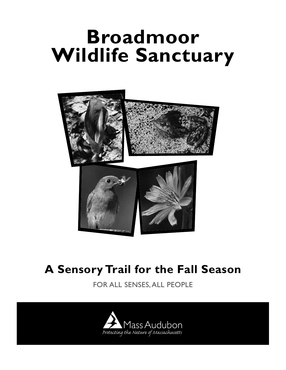# **Broadmoor Wildlife Sanctuary**



## **A Sensory Trail for the Fall Season**

FOR ALL SENSES, ALL PEOPLE

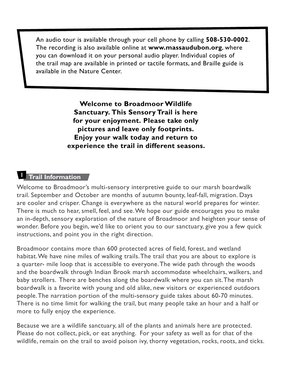An audio tour is available through your cell phone by calling **508-530-0002**. The recording is also available online at **www.massaudubon.org**, where you can download it on your personal audio player. Individual copies of the trail map are available in printed or tactile formats, and Braille guide is available in the Nature Center.

> **Welcome to Broadmoor Wildlife Sanctuary. This Sensory Trail is here for your enjoyment. Please take only pictures and leave only footprints. Enjoy your walk today and return to experience the trail in different seasons.**

## **Trail Information**

Welcome to Broadmoor's multi-sensory interpretive guide to our marsh boardwalk trail. September and October are months of autumn bounty, leaf-fall, migration. Days are cooler and crisper. Change is everywhere as the natural world prepares for winter. There is much to hear, smell, feel, and see. We hope our guide encourages you to make an in-depth, sensory exploration of the nature of Broadmoor and heighten your sense of wonder. Before you begin, we'd like to orient you to our sanctuary, give you a few quick instructions, and point you in the right direction.

Broadmoor contains more than 600 protected acres of field, forest, and wetland habitat. We have nine miles of walking trails. The trail that you are about to explore is a quarter- mile loop that is accessible to everyone. The wide path through the woods and the boardwalk through Indian Brook marsh accommodate wheelchairs, walkers, and baby strollers. There are benches along the boardwalk where you can sit. The marsh boardwalk is a favorite with young and old alike, new visitors or experienced outdoors people. The narration portion of the multi-sensory guide takes about 60-70 minutes. There is no time limit for walking the trail, but many people take an hour and a half or more to fully enjoy the experience.

Because we are a wildlife sanctuary, all of the plants and animals here are protected. Please do not collect, pick, or eat anything. For your safety as well as for that of the wildlife, remain on the trail to avoid poison ivy, thorny vegetation, rocks, roots, and ticks.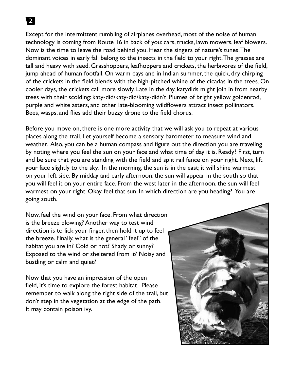Except for the intermittent rumbling of airplanes overhead, most of the noise of human technology is coming from Route 16 in back of you: cars, trucks, lawn mowers, leaf blowers. Now is the time to leave the road behind you. Hear the singers of nature's tunes. The dominant voices in early fall belong to the insects in the field to your right. The grasses are tall and heavy with seed. Grasshoppers, leafhoppers and crickets, the herbivores of the field, jump ahead of human footfall. On warm days and in Indian summer, the quick, dry chirping of the crickets in the field blends with the high-pitched whine of the cicadas in the trees. On cooler days, the crickets call more slowly. Late in the day, katydids might join in from nearby trees with their scolding: katy-did/katy-did/katy-didn't. Plumes of bright yellow goldenrod, purple and white asters, and other late-blooming wildflowers attract insect pollinators. Bees, wasps, and flies add their buzzy drone to the field chorus.

Before you move on, there is one more activity that we will ask you to repeat at various places along the trail. Let yourself become a sensory barometer to measure wind and weather. Also, you can be a human compass and figure out the direction you are traveling by noting where you feel the sun on your face and what time of day it is. Ready? First, turn and be sure that you are standing with the field and split rail fence on your right. Next, lift your face slightly to the sky. In the morning, the sun is in the east; it will shine warmest on your left side. By midday and early afternoon, the sun will appear in the south so that you will feel it on your entire face. From the west later in the afternoon, the sun will feel warmest on your right. Okay, feel that sun. In which direction are you heading? You are going south.

Now, feel the wind on your face. From what direction is the breeze blowing? Another way to test wind direction is to lick your finger, then hold it up to feel the breeze. Finally, what is the general "feel" of the habitat you are in? Cold or hot? Shady or sunny? Exposed to the wind or sheltered from it? Noisy and bustling or calm and quiet?

Now that you have an impression of the open field, it's time to explore the forest habitat. Please remember to walk along the right side of the trail, but don't step in the vegetation at the edge of the path. It may contain poison ivy.

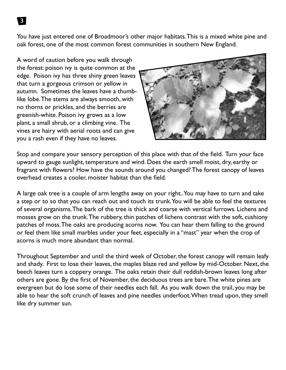You have just entered one of Broadmoor's other major habitats. This is a mixed white pine and oak forest, one of the most common forest communities in southern New England.

A word of caution before you walk through the forest: poison ivy is quite common at the edge. Poison ivy has three shiny green leaves that turn a gorgeous crimson or yellow in autumn. Sometimes the leaves have a thumblike lobe. The stems are always smooth, with no thorns or prickles, and the berries are greenish-white. Poison ivy grows as a low plant, a small shrub, or a climbing vine. The vines are hairy with aerial roots and can give you a rash even if they have no leaves.



Stop and compare your sensory perception of this place with that of the field. Turn your face upward to gauge sunlight, temperature and wind. Does the earth smell moist, dry, earthy or fragrant with flowers? How have the sounds around you changed? The forest canopy of leaves overhead creates a cooler, moister habitat than the field.

A large oak tree is a couple of arm lengths away on your right.. You may have to turn and take a step or to so that you can reach out and touch its trunk. You will be able to feel the textures of several organisms. The bark of the tree is thick and coarse with vertical furrows. Lichens and mosses grow on the trunk. The rubbery, thin patches of lichens contrast with the soft, cushiony patches of moss. The oaks are producing acorns now. You can hear them falling to the ground or feel them like small marbles under your feet, especially in a "mast" year when the crop of acorns is much more abundant than normal.

Throughout September and until the third week of October, the forest canopy will remain leafy and shady. First to lose their leaves, the maples blaze red and yellow by mid-October. Next, the beech leaves turn a coppery orange. The oaks retain their dull reddish-brown leaves long after others are gone. By the first of November, the deciduous trees are bare. The white pines are evergreen but do lose some of their needles each fall. As you walk down the trail, you may be able to hear the soft crunch of leaves and pine needles underfoot. When tread upon, they smell like dry summer sun.

3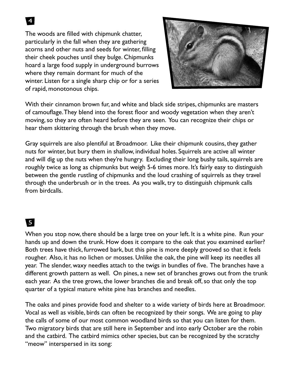The woods are filled with chipmunk chatter, particularly in the fall when they are gathering acorns and other nuts and seeds for winter, filling their cheek pouches until they bulge. Chipmunks hoard a large food supply in underground burrows where they remain dormant for much of the winter. Listen for a single sharp chip or for a series of rapid, monotonous chips.



With their cinnamon brown fur, and white and black side stripes, chipmunks are masters of camouflage. They blend into the forest floor and woody vegetation when they aren't moving, so they are often heard before they are seen. You can recognize their chips or hear them skittering through the brush when they move.

Gray squirrels are also plentiful at Broadmoor. Like their chipmunk cousins, they gather nuts for winter, but bury them in shallow, individual holes. Squirrels are active all winter and will dig up the nuts when they're hungry. Excluding their long bushy tails, squirrels are roughly twice as long as chipmunks but weigh 5-6 times more. It's fairly easy to distinguish between the gentle rustling of chipmunks and the loud crashing of squirrels as they travel through the underbrush or in the trees. As you walk, try to distinguish chipmunk calls from birdcalls.

## 5

When you stop now, there should be a large tree on your left. It is a white pine. Run your hands up and down the trunk. How does it compare to the oak that you examined earlier? Both trees have thick, furrowed bark, but this pine is more deeply grooved so that it feels rougher. Also, it has no lichen or mosses. Unlike the oak, the pine will keep its needles all year. The slender, waxy needles attach to the twigs in bundles of five. The branches have a different growth pattern as well. On pines, a new set of branches grows out from the trunk each year. As the tree grows, the lower branches die and break off, so that only the top quarter of a typical mature white pine has branches and needles.

The oaks and pines provide food and shelter to a wide variety of birds here at Broadmoor. Vocal as well as visible, birds can often be recognized by their songs. We are going to play the calls of some of our most common woodland birds so that you can listen for them. Two migratory birds that are still here in September and into early October are the robin and the catbird. The catbird mimics other species, but can be recognized by the scratchy "meow" interspersed in its song: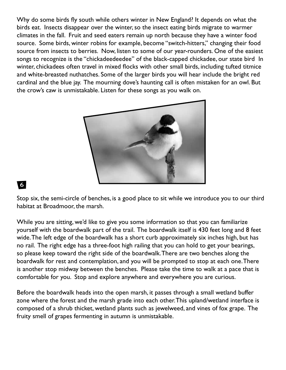Why do some birds fly south while others winter in New England? It depends on what the birds eat. Insects disappear over the winter, so the insect eating birds migrate to warmer climates in the fall. Fruit and seed eaters remain up north because they have a winter food source. Some birds, winter robins for example, become "switch-hitters," changing their food source from insects to berries. Now, listen to some of our year-rounders. One of the easiest songs to recognize is the "chickadeedeedee" of the black-capped chickadee, our state bird In winter, chickadees often travel in mixed flocks with other small birds, including tufted titmice and white-breasted nuthatches. Some of the larger birds you will hear include the bright red cardinal and the blue jay. The mourning dove's haunting call is often mistaken for an owl. But the crow's caw is unmistakable. Listen for these songs as you walk on.



### 6

Stop six, the semi-circle of benches, is a good place to sit while we introduce you to our third habitat at Broadmoor, the marsh.

While you are sitting, we'd like to give you some information so that you can familiarize yourself with the boardwalk part of the trail. The boardwalk itself is 430 feet long and 8 feet wide. The left edge of the boardwalk has a short curb approximately six inches high, but has no rail. The right edge has a three-foot high railing that you can hold to get your bearings, so please keep toward the right side of the boardwalk. There are two benches along the boardwalk for rest and contemplation, and you will be prompted to stop at each one. There is another stop midway between the benches. Please take the time to walk at a pace that is comfortable for you. Stop and explore anywhere and everywhere you are curious.

Before the boardwalk heads into the open marsh, it passes through a small wetland buffer zone where the forest and the marsh grade into each other. This upland/wetland interface is composed of a shrub thicket, wetland plants such as jewelweed, and vines of fox grape. The fruity smell of grapes fermenting in autumn is unmistakable.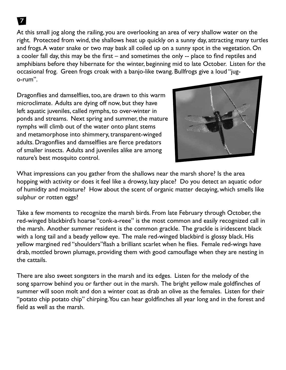At this small jog along the railing, you are overlooking an area of very shallow water on the right. Protected from wind, the shallows heat up quickly on a sunny day, attracting many turtles and frogs. A water snake or two may bask all coiled up on a sunny spot in the vegetation. On a cooler fall day, this may be the first – and sometimes the only -- place to find reptiles and amphibians before they hibernate for the winter, beginning mid to late October. Listen for the occasional frog. Green frogs croak with a banjo-like twang. Bullfrogs give a loud "jugo-rum".

Dragonflies and damselflies, too, are drawn to this warm microclimate. Adults are dying off now, but they have left aquatic juveniles, called nymphs, to over-winter in ponds and streams. Next spring and summer, the mature nymphs will climb out of the water onto plant stems and metamorphose into shimmery, transparent-winged adults. Dragonflies and damselflies are fierce predators of smaller insects. Adults and juveniles alike are among nature's best mosquito control.



What impressions can you gather from the shallows near the marsh shore? Is the area hopping with activity or does it feel like a drowsy, lazy place? Do you detect an aquatic odor of humidity and moisture? How about the scent of organic matter decaying, which smells like sulphur or rotten eggs?

Take a few moments to recognize the marsh birds. From late February through October, the red-winged blackbird's hoarse "conk-a-reee" is the most common and easily recognized call in the marsh. Another summer resident is the common grackle. The grackle is iridescent black with a long tail and a beady yellow eye. The male red-winged blackbird is glossy black. His yellow margined red "shoulders"flash a brilliant scarlet when he flies. Female red-wings have drab, mottled brown plumage, providing them with good camouflage when they are nesting in the cattails.

There are also sweet songsters in the marsh and its edges. Listen for the melody of the song sparrow behind you or farther out in the marsh. The bright yellow male goldfinches of summer will soon molt and don a winter coat as drab an olive as the females. Listen for their "potato chip potato chip" chirping. You can hear goldfinches all year long and in the forest and field as well as the marsh.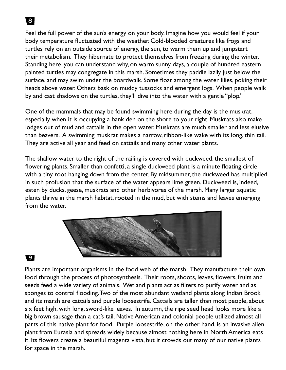Feel the full power of the sun's energy on your body. Imagine how you would feel if your body temperature fluctuated with the weather. Cold-blooded creatures like frogs and turtles rely on an outside source of energy, the sun, to warm them up and jumpstart their metabolism. They hibernate to protect themselves from freezing during the winter. Standing here, you can understand why, on warm sunny days, a couple of hundred eastern painted turtles may congregate in this marsh. Sometimes they paddle lazily just below the surface, and may swim under the boardwalk. Some float among the water lilies, poking their heads above water. Others bask on muddy tussocks and emergent logs. When people walk by and cast shadows on the turtles, they'll dive into the water with a gentle "plop."

One of the mammals that may be found swimming here during the day is the muskrat, especially when it is occupying a bank den on the shore to your right. Muskrats also make lodges out of mud and cattails in the open water. Muskrats are much smaller and less elusive than beavers. A swimming muskrat makes a narrow, ribbon-like wake with its long, thin tail. They are active all year and feed on cattails and many other water plants.

The shallow water to the right of the railing is covered with duckweed, the smallest of flowering plants. Smaller than confetti, a single duckweed plant is a minute floating circle with a tiny root hanging down from the center. By midsummer, the duckweed has multiplied in such profusion that the surface of the water appears lime green. Duckweed is, indeed, eaten by ducks, geese, muskrats and other herbivores of the marsh. Many larger aquatic plants thrive in the marsh habitat, rooted in the mud, but with stems and leaves emerging from the water.



#### 9

Plants are important organisms in the food web of the marsh. They manufacture their own food through the process of photosynthesis. Their roots, shoots, leaves, flowers, fruits and seeds feed a wide variety of animals. Wetland plants act as filters to purify water and as sponges to control flooding. Two of the most abundant wetland plants along Indian Brook and its marsh are cattails and purple loosestrife. Cattails are taller than most people, about six feet high, with long, sword-like leaves. In autumn, the ripe seed head looks more like a big brown sausage than a cat's tail. Native American and colonial people utilized almost all parts of this native plant for food. Purple loosestrife, on the other hand, is an invasive alien plant from Eurasia and spreads widely because almost nothing here in North America eats it. Its flowers create a beautiful magenta vista, but it crowds out many of our native plants for space in the marsh.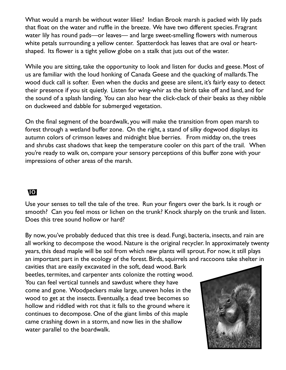What would a marsh be without water lilies? Indian Brook marsh is packed with lily pads that float on the water and ruffle in the breeze. We have two different species. Fragrant water lily has round pads—or leaves— and large sweet-smelling flowers with numerous white petals surrounding a yellow center. Spatterdock has leaves that are oval or heartshaped. Its flower is a tight yellow globe on a stalk that juts out of the water.

While you are sitting, take the opportunity to look and listen for ducks and geese. Most of us are familiar with the loud honking of Canada Geese and the quacking of mallards. The wood duck call is softer. Even when the ducks and geese are silent, it's fairly easy to detect their presence if you sit quietly. Listen for wing-whir as the birds take off and land, and for the sound of a splash landing. You can also hear the click-clack of their beaks as they nibble on duckweed and dabble for submerged vegetation.

On the final segment of the boardwalk, you will make the transition from open marsh to forest through a wetland buffer zone. On the right, a stand of silky dogwood displays its autumn colors of crimson leaves and midnight blue berries. From midday on, the trees and shrubs cast shadows that keep the temperature cooler on this part of the trail. When you're ready to walk on, compare your sensory perceptions of this buffer zone with your impressions of other areas of the marsh.

### 10

Use your senses to tell the tale of the tree. Run your fingers over the bark. Is it rough or smooth? Can you feel moss or lichen on the trunk? Knock sharply on the trunk and listen. Does this tree sound hollow or hard?

By now, you've probably deduced that this tree is dead. Fungi, bacteria, insects, and rain are all working to decompose the wood. Nature is the original recycler. In approximately twenty years, this dead maple will be soil from which new plants will sprout. For now, it still plays an important part in the ecology of the forest. Birds, squirrels and raccoons take shelter in

cavities that are easily excavated in the soft, dead wood. Bark beetles, termites, and carpenter ants colonize the rotting wood. You can feel vertical tunnels and sawdust where they have come and gone. Woodpeckers make large, uneven holes in the wood to get at the insects. Eventually, a dead tree becomes so hollow and riddled with rot that it falls to the ground where it continues to decompose. One of the giant limbs of this maple came crashing down in a storm, and now lies in the shallow water parallel to the boardwalk.

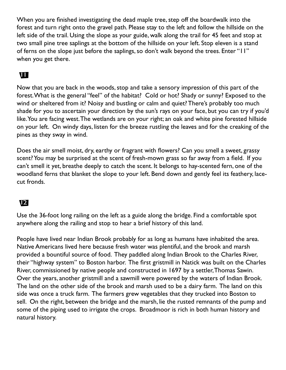When you are finished investigating the dead maple tree, step off the boardwalk into the forest and turn right onto the gravel path. Please stay to the left and follow the hillside on the left side of the trail. Using the slope as your guide, walk along the trail for 45 feet and stop at two small pine tree saplings at the bottom of the hillside on your left. Stop eleven is a stand of ferns on the slope just before the saplings, so don't walk beyond the trees. Enter "11" when you get there.

#### **11**

Now that you are back in the woods, stop and take a sensory impression of this part of the forest. What is the general "feel" of the habitat? Cold or hot? Shady or sunny? Exposed to the wind or sheltered from it? Noisy and bustling or calm and quiet? There's probably too much shade for you to ascertain your direction by the sun's rays on your face, but you can try if you'd like. You are facing west. The wetlands are on your right; an oak and white pine forested hillside on your left. On windy days, listen for the breeze rustling the leaves and for the creaking of the pines as they sway in wind.

Does the air smell moist, dry, earthy or fragrant with flowers? Can you smell a sweet, grassy scent? You may be surprised at the scent of fresh-mown grass so far away from a field. If you can't smell it yet, breathe deeply to catch the scent. It belongs to hay-scented fern, one of the woodland ferns that blanket the slope to your left. Bend down and gently feel its feathery, lacecut fronds.

#### 12

Use the 36-foot long railing on the left as a guide along the bridge. Find a comfortable spot anywhere along the railing and stop to hear a brief history of this land.

People have lived near Indian Brook probably for as long as humans have inhabited the area. Native Americans lived here because fresh water was plentiful, and the brook and marsh provided a bountiful source of food. They paddled along Indian Brook to the Charles River, their "highway system" to Boston harbor. The first gristmill in Natick was built on the Charles River, commissioned by native people and constructed in 1697 by a settler, Thomas Sawin. Over the years, another gristmill and a sawmill were powered by the waters of Indian Brook. The land on the other side of the brook and marsh used to be a dairy farm. The land on this side was once a truck farm. The farmers grew vegetables that they trucked into Boston to sell. On the right, between the bridge and the marsh, lie the rusted remnants of the pump and some of the piping used to irrigate the crops. Broadmoor is rich in both human history and natural history.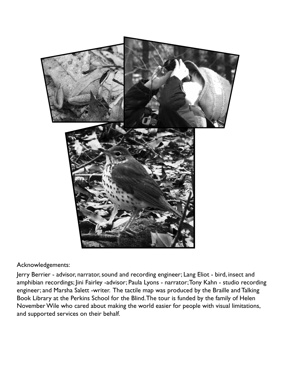

#### Acknowledgements:

Jerry Berrier - advisor, narrator, sound and recording engineer; Lang Eliot - bird, insect and amphibian recordings; Jini Fairley -advisor; Paula Lyons - narrator; Tony Kahn - studio recording engineer; and Marsha Salett -writer. The tactile map was produced by the Braille and Talking Book Library at the Perkins School for the Blind. The tour is funded by the family of Helen November Wile who cared about making the world easier for people with visual limitations, and supported services on their behalf.